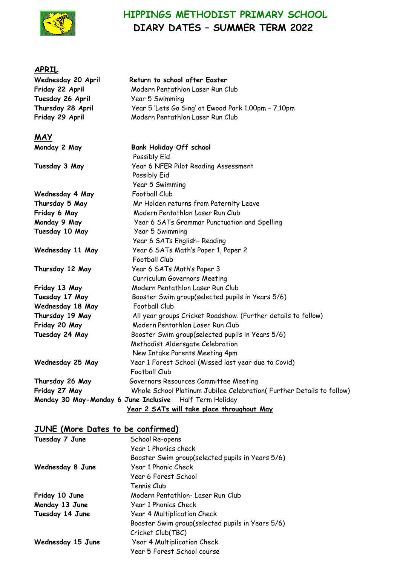

# **HIPPINGS METHODIST PRIMARY SCHOOL DIARY DATES – SUMMER TERM 2022**

### **APRIL**

| Wednesday 20 April                    | Return to school after Easter                                           |
|---------------------------------------|-------------------------------------------------------------------------|
| Friday 22 April                       | Modern Pentathlon Laser Run Club                                        |
| Tuesday 26 April                      | Year 5 Swimming                                                         |
| Thursday 28 April                     | Year 5 'Lets Go Sing' at Ewood Park 1.00pm - 7.10pm                     |
| Friday 29 April                       | Modern Pentathlon Laser Run Club                                        |
| <b>MAY</b>                            |                                                                         |
| Monday 2 May                          | <b>Bank Holiday Off school</b><br>Possibly Eid                          |
| Tuesday 3 May                         | Year 6 NFER Pilot Reading Assessment<br>Possibly Eid<br>Year 5 Swimming |
| Wednesday 4 May                       | Football Club                                                           |
| Thursday 5 May                        | Mr Holden returns from Paternity Leave                                  |
| Friday 6 May                          | Modern Pentathlon Laser Run Club                                        |
| Monday 9 May                          | Year 6 SATs Grammar Punctuation and Spelling                            |
| Tuesday 10 May                        | Year 5 Swimming                                                         |
|                                       | Year 6 SATs English-Reading                                             |
| Wednesday 11 May                      | Year 6 SATs Math's Paper 1, Paper 2<br><b>Football Club</b>             |
| Thursday 12 May                       | Year 6 SATs Math's Paper 3<br>Curriculum Governors Meeting              |
| Friday 13 May                         | Modern Pentathlon Laser Run Club                                        |
| Tuesday 17 May                        | Booster Swim group(selected pupils in Years 5/6)                        |
| Wednesday 18 May                      | Football Club                                                           |
| Thursday 19 May                       | All year groups Cricket Roadshow. (Further details to follow)           |
| Friday 20 May                         | Modern Pentathlon Laser Run Club                                        |
| Tuesday 24 May                        | Booster Swim group(selected pupils in Years 5/6)                        |
|                                       | Methodist Aldersgate Celebration                                        |
|                                       | New Intake Parents Meeting 4pm                                          |
| Wednesday 25 May                      | Year 1 Forest School (Missed last year due to Covid)                    |
|                                       | <b>Football Club</b>                                                    |
| Thursday 26 May                       | Governors Resources Committee Meeting                                   |
| Friday 27 May                         | Whole School Platinum Jubilee Celebration(Further Details to follow)    |
| Monday 30 May-Monday 6 June Inclusive | Half Term Holiday                                                       |
|                                       | Year 2 SATs will take place throughout May                              |

## **JUNE (More Dates to be confirmed)**

| Tuesday 7 June    | School Re-opens                                  |
|-------------------|--------------------------------------------------|
|                   | Year 1 Phonics check                             |
|                   | Booster Swim group(selected pupils in Years 5/6) |
| Wednesday 8 June  | Year 1 Phonic Check                              |
|                   | Year 6 Forest School                             |
|                   | Tennis Club                                      |
| Friday 10 June    | Modern Pentathlon-Laser Run Club                 |
| Monday 13 June    | Year 1 Phonics Check                             |
| Tuesday 14 June   | Year 4 Multiplication Check                      |
|                   | Booster Swim group(selected pupils in Years 5/6) |
|                   | Cricket Club(TBC)                                |
| Wednesday 15 June | Year 4 Multiplication Check                      |
|                   | Year 5 Forest School course                      |